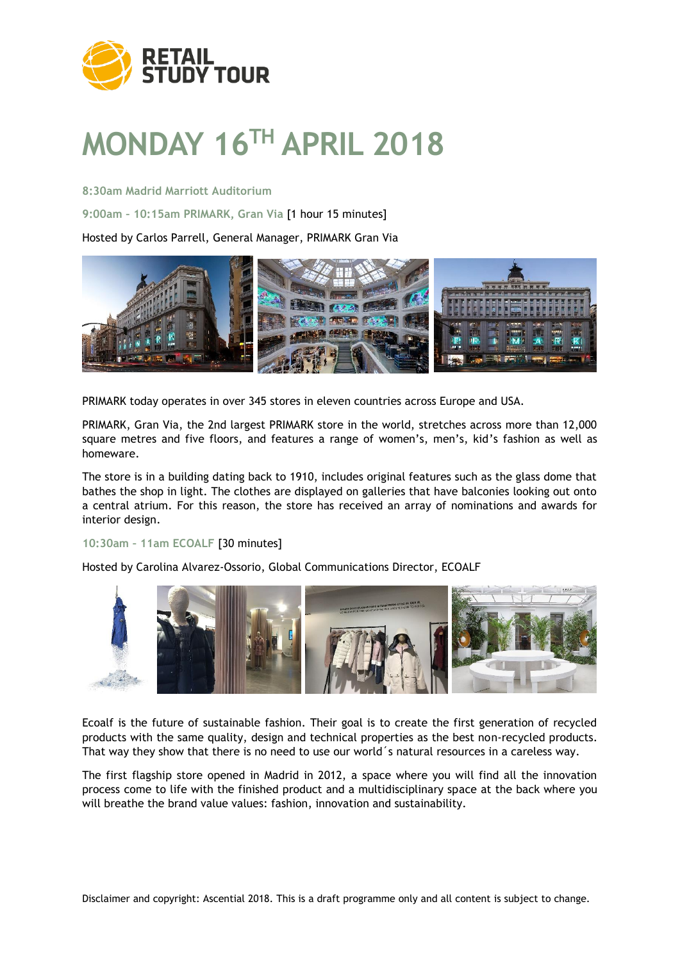

# **MONDAY 16TH APRIL 2018**

### **8:30am Madrid Marriott Auditorium**

**9:00am – 10:15am PRIMARK, Gran Via** [1 hour 15 minutes]

Hosted by Carlos Parrell, General Manager, PRIMARK Gran Via



PRIMARK today operates in over 345 stores in eleven countries across Europe and USA.

PRIMARK, Gran Via, the 2nd largest PRIMARK store in the world, stretches across more than 12,000 square metres and five floors, and features a range of women's, men's, kid's fashion as well as homeware.

The store is in a building dating back to 1910, includes original features such as the glass dome that bathes the shop in light. The clothes are displayed on galleries that have balconies looking out onto a central atrium. For this reason, the store has received an array of nominations and awards for interior design.

### **10:30am – 11am ECOALF** [30 minutes]

Hosted by Carolina Alvarez-Ossorio, Global Communications Director, ECOALF



Ecoalf is the future of sustainable fashion. Their goal is to create the first generation of recycled products with the same quality, design and technical properties as the best non-recycled products. That way they show that there is no need to use our world´s natural resources in a careless way.

The first flagship store opened in Madrid in 2012, a space where you will find all the innovation process come to life with the finished product and a multidisciplinary space at the back where you will breathe the brand value values: fashion, innovation and sustainability.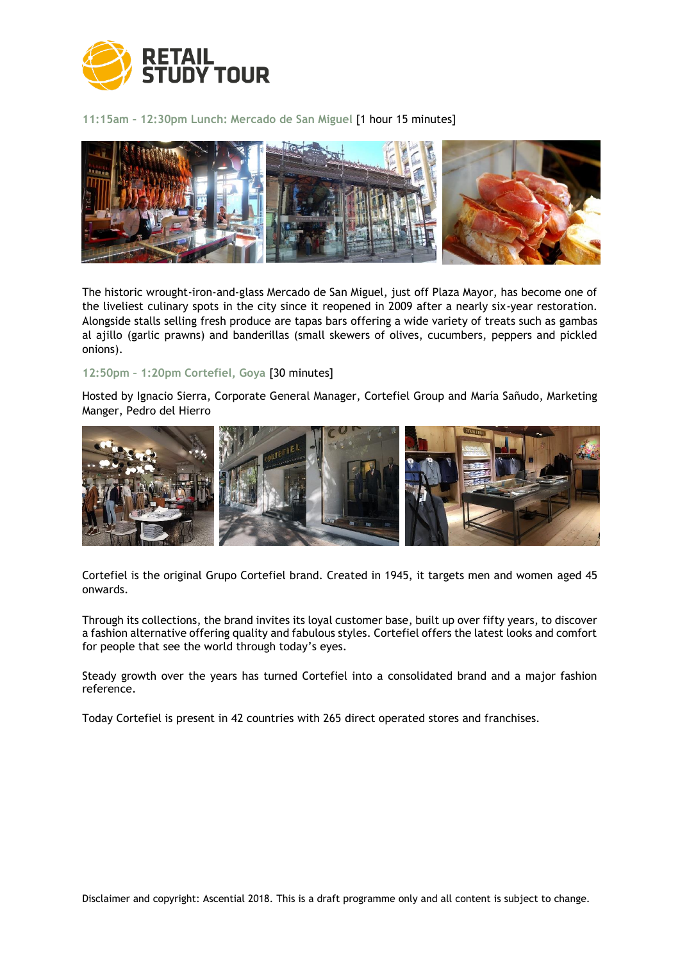

**11:15am – 12:30pm Lunch: Mercado de San Miguel** [1 hour 15 minutes]



The historic wrought-iron-and-glass Mercado de San Miguel, just off Plaza Mayor, has become one of the liveliest culinary spots in the city since it reopened in 2009 after a nearly six-year restoration. Alongside stalls selling fresh produce are tapas bars offering a wide variety of treats such as gambas al ajillo (garlic prawns) and banderillas (small skewers of olives, cucumbers, peppers and pickled onions).

# **12:50pm – 1:20pm Cortefiel, Goya** [30 minutes]

Hosted by Ignacio Sierra, Corporate General Manager, Cortefiel Group and María Sañudo, Marketing Manger, Pedro del Hierro



Cortefiel is the original Grupo Cortefiel brand. Created in 1945, it targets men and women aged 45 onwards.

Through its collections, the brand invites its loyal customer base, built up over fifty years, to discover a fashion alternative offering quality and fabulous styles. Cortefiel offers the latest looks and comfort for people that see the world through today's eyes.

Steady growth over the years has turned Cortefiel into a consolidated brand and a major fashion reference.

Today Cortefiel is present in 42 countries with 265 direct operated stores and franchises.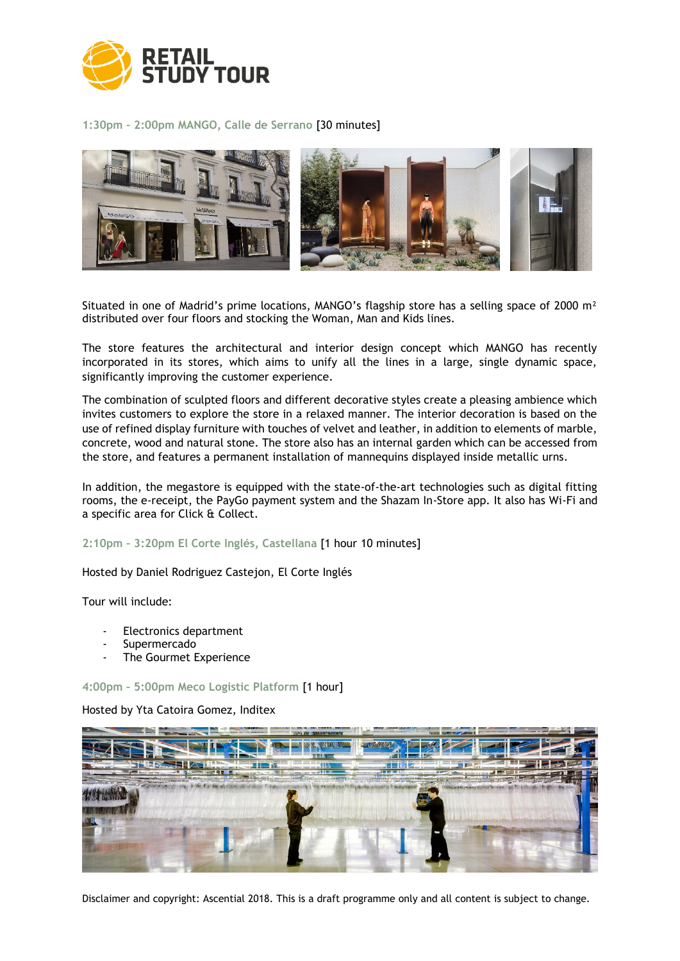

# **1:30pm – 2:00pm MANGO, Calle de Serrano** [30 minutes]



Situated in one of Madrid's prime locations, MANGO's flagship store has a selling space of 2000 m<sup>2</sup> distributed over four floors and stocking the Woman, Man and Kids lines.

The store features the architectural and interior design concept which MANGO has recently incorporated in its stores, which aims to unify all the lines in a large, single dynamic space, significantly improving the customer experience.

The combination of sculpted floors and different decorative styles create a pleasing ambience which invites customers to explore the store in a relaxed manner. The interior decoration is based on the use of refined display furniture with touches of velvet and leather, in addition to elements of marble, concrete, wood and natural stone. The store also has an internal garden which can be accessed from the store, and features a permanent installation of mannequins displayed inside metallic urns.

In addition, the megastore is equipped with the state-of-the-art technologies such as digital fitting rooms, the e-receipt, the PayGo payment system and the Shazam In-Store app. It also has Wi-Fi and a specific area for Click & Collect.

**2:10pm – 3:20pm El Corte Inglés, Castellana** [1 hour 10 minutes]

Hosted by Daniel Rodriguez Castejon, El Corte Inglés

Tour will include:

- Electronics department
- Supermercado
- The Gourmet Experience

**4:00pm – 5:00pm Meco Logistic Platform** [1 hour]

Hosted by Yta Catoira Gomez, Inditex



Disclaimer and copyright: Ascential 2018. This is a draft programme only and all content is subject to change.